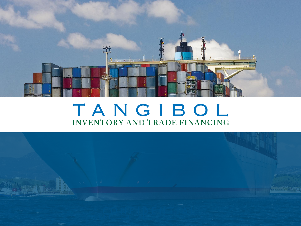

# TANGIBOL **INVENTORY AND TRADE FINANCING**

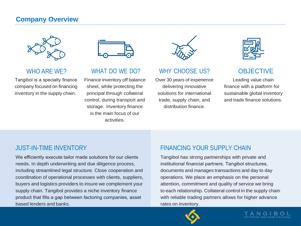### **Company Overview**



#### WHO ARE WE?

Tangibol is a specialty finance company focused on financing inventory in the supply chain.



## WHAT DO WE DO?

Finance inventory off balance sheet, while protecting the principal through collateral control, during transport and storage. Inventory finance is the main focus of our activities.



## WHY CHOOSE US?

Over 30 years of experience delivering innovative solutions for international trade, supply chain, and distribution finance.



# **OBJECTIVE**

Leading value chain finance with a platform for sustainable global inventory and trade finance solutions.

## JUST-IN-TIME INVENTORY

We efficiently execute tailor made solutions for our clients needs. In depth underwriting and due diligence process, including streamlined legal structure. Close cooperation and coordination of operational processes with clients, suppliers, buyers and logistics providers to insure we complement your supply chain. Tangibol provides a niche inventory finance product that fills a gap between factoring companies, asset based lenders and banks.

## FINANCING YOUR SUPPLY CHAIN

Tangibol has strong partnerships with private and institutional financial partners. Tangibol structures, documents and manages transactions and day to day operations. We place an emphasis on the personal attention, commitment and quality of service we bring to each relationship. Collateral control in the supply chain with reliable trading partners allows for higher advance rates on inventory.

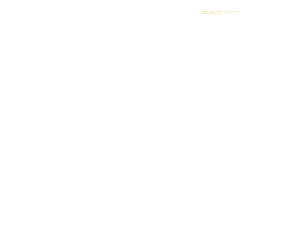SUPPLY CHAIN FINANCE / SUPPLY CHAIN MANAGEMENT/GLOBAL SALES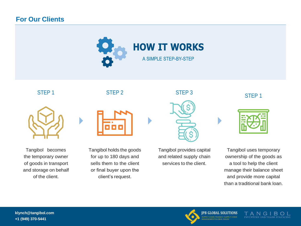### **For Our Clients**





Tangibol becomes the temporary owner of goods in transport and storage on behalf of the client.

Tangibol holds the goods for up to 180 days and sells them to the client or final buyer upon the client's request.

Tangibol provides capital and related supply chain services to the client.

Tangibol uses temporary ownership of the goods as a tool to help the client manage their balance sheet and provide more capital than a traditional bank loan.



**JPB GLOBAL SOLUTIONS** SUPPLY CHAIN FINANCE / SUPPLY CHAIN MANAGEMENT/GLOBAL SALES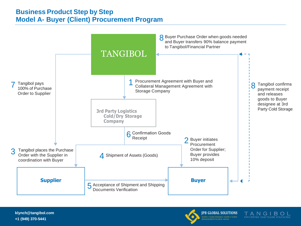## **Business Product Step by Step Model A- Buyer (Client) Procurement Program**



**[klynch@tangibol.com](mailto:klynch@tangibol.com) +1 (949) 370-5441**



**JPB GLOBAL SOLUTIONS** SUPPLY CHAIN FINANCE / SUPPLY CHAIN MANAGEMENT/GLOBAL SALES

TANGIB **INVENTORY AND TRADE FINANCING**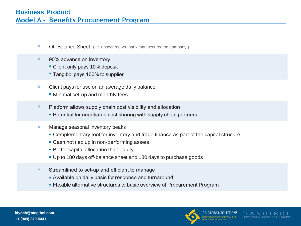- $\overline{\phantom{a}}$ Off-Balance Sheet (i.e. unsecured vs. bank loan secured on company )
- 90% advance on inventory •
	- Client only pays 10% deposit
	- " Tangibol pays 100% to supplier
- Client pays for use on an average daily balance
	- Minimal set-up and monthly fees
- Platform allows supply chain cost visibility and allocation •
	- Potential for negotiated cost sharing with supply chain partners
- Manage seasonal inventory peaks
	- Complementary tool for inventory and trade finance as part of the capital strucure
	- Cash not tied up in non-performing assets
	- **Better capital allocation than equity**
	- Up to 180 days off-balance sheet and 180 days to purchase goods
- Streamlined to set-up and efficient to manage
	- Available on daily basis for response and turnaround
	- Flexible alternative structures to basic overview of Procurement Program

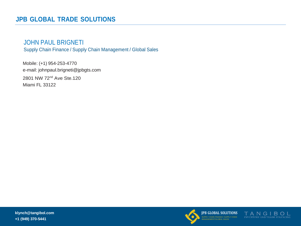### JOHN PAUL BRIGNETI

Supply Chain Finance / Supply Chain Management / Global Sales

Mobile: (+1) 954-253-4770 e-mail: [johnpaul.brigneti@jpbgts.com](mailto:johnpaul.brigneti@jpbgts.com) 2801 NW 72nd Ave Ste.120 Miami FL 33122